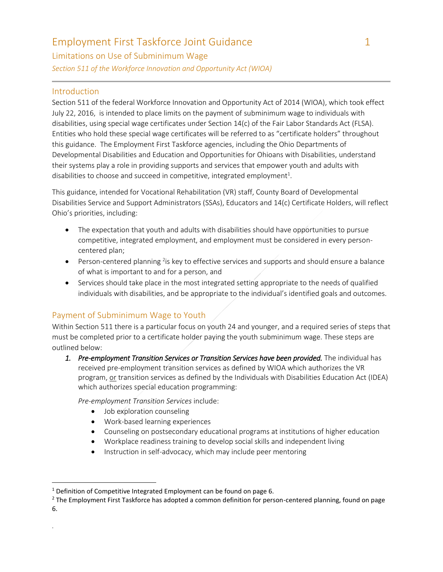Limitations on Use of Subminimum Wage *Section 511 of the Workforce Innovation and Opportunity Act (WIOA)*

#### Introduction

.

 $\overline{\phantom{a}}$ 

Section 511 of the federal Workforce Innovation and Opportunity Act of 2014 (WIOA), which took effect July 22, 2016, is intended to place limits on the payment of subminimum wage to individuals with disabilities, using special wage certificates under Section 14(c) of the Fair Labor Standards Act (FLSA). Entities who hold these special wage certificates will be referred to as "certificate holders" throughout this guidance. The Employment First Taskforce agencies, including the Ohio Departments of Developmental Disabilities and Education and Opportunities for Ohioans with Disabilities, understand their systems play a role in providing supports and services that empower youth and adults with disabilities to choose and succeed in competitive, integrated employment<sup>1</sup>.

This guidance, intended for Vocational Rehabilitation (VR) staff, County Board of Developmental Disabilities Service and Support Administrators (SSAs), Educators and 14(c) Certificate Holders, will reflect Ohio's priorities, including:

- The expectation that youth and adults with disabilities should have opportunities to pursue competitive, integrated employment, and employment must be considered in every personcentered plan;
- $\bullet$  Person-centered planning <sup>2</sup>is key to effective services and supports and should ensure a balance of what is important to and for a person, and
- Services should take place in the most integrated setting appropriate to the needs of qualified individuals with disabilities, and be appropriate to the individual's identified goals and outcomes.

### Payment of Subminimum Wage to Youth

Within Section 511 there is a particular focus on youth 24 and younger, and a required series of steps that must be completed prior to a certificate holder paying the youth subminimum wage. These steps are outlined below:

1. Pre-employment Transition Services or Transition Services have been provided. The individual has received pre-employment transition services as defined by WIOA which authorizes the VR program, or transition services as defined by the Individuals with Disabilities Education Act (IDEA) which authorizes special education programming:

*Pre-employment Transition Services* include:

- Job exploration counseling
- Work-based learning experiences
- Counseling on postsecondary educational programs at institutions of higher education
- Workplace readiness training to develop social skills and independent living
- Instruction in self-advocacy, which may include peer mentoring

<sup>&</sup>lt;sup>1</sup> Definition of Competitive Integrated Employment can be found on page 6.

 $<sup>2</sup>$  The Employment First Taskforce has adopted a common definition for person-centered planning, found on page</sup> 6.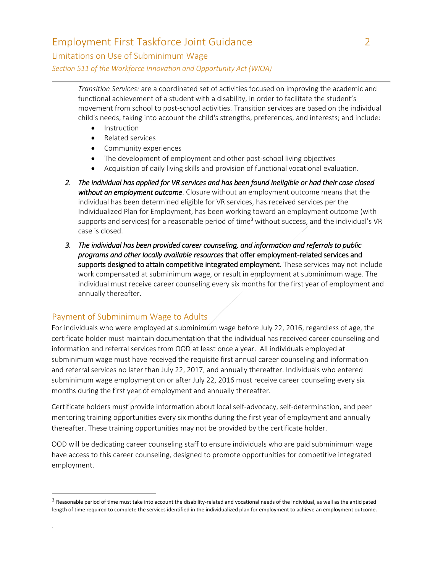Limitations on Use of Subminimum Wage

*Section 511 of the Workforce Innovation and Opportunity Act (WIOA)*

*Transition Services:* are a coordinated set of activities focused on improving the academic and functional achievement of a student with a disability, in order to facilitate the student's movement from school to post-school activities. Transition services are based on the individual child's needs, taking into account the child's strengths, preferences, and interests; and include:

- Instruction
- Related services
- Community experiences
- The development of employment and other post-school living objectives
- Acquisition of daily living skills and provision of functional vocational evaluation.
- *2. The individual has applied for VR services and has been found ineligible or had their case closed without an employment outcome*. Closure without an employment outcome means that the individual has been determined eligible for VR services, has received services per the Individualized Plan for Employment, has been working toward an employment outcome (with supports and services) for a reasonable period of time<sup>3</sup> without success, and the individual's VR case is closed.
- *3. The individual has been provided career counseling, and information and referrals to public programs and other locally available resources* that offer employment-related services and supports designed to attain competitive integrated employment. These services may not include work compensated at subminimum wage, or result in employment at subminimum wage. The individual must receive career counseling every six months for the first year of employment and annually thereafter.

### Payment of Subminimum Wage to Adults

.

 $\overline{\phantom{a}}$ 

For individuals who were employed at subminimum wage before July 22, 2016, regardless of age, the certificate holder must maintain documentation that the individual has received career counseling and information and referral services from OOD at least once a year. All individuals employed at subminimum wage must have received the requisite first annual career counseling and information and referral services no later than July 22, 2017, and annually thereafter. Individuals who entered subminimum wage employment on or after July 22, 2016 must receive career counseling every six months during the first year of employment and annually thereafter.

Certificate holders must provide information about local self-advocacy, self-determination, and peer mentoring training opportunities every six months during the first year of employment and annually thereafter. These training opportunities may not be provided by the certificate holder.

OOD will be dedicating career counseling staff to ensure individuals who are paid subminimum wage have access to this career counseling, designed to promote opportunities for competitive integrated employment.

 $3$  Reasonable period of time must take into account the disability-related and vocational needs of the individual, as well as the anticipated length of time required to complete the services identified in the individualized plan for employment to achieve an employment outcome.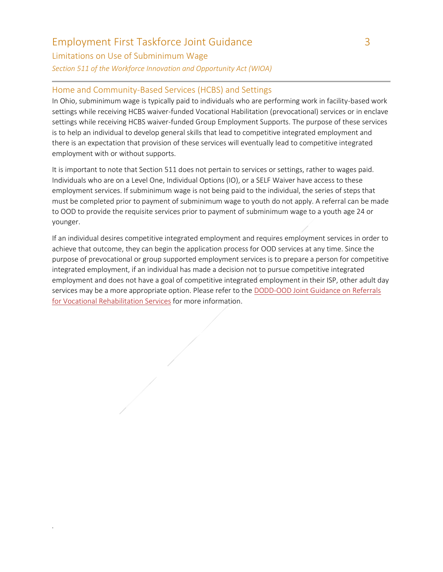Limitations on Use of Subminimum Wage *Section 511 of the Workforce Innovation and Opportunity Act (WIOA)*

.

#### Home and Community-Based Services (HCBS) and Settings

In Ohio, subminimum wage is typically paid to individuals who are performing work in facility-based work settings while receiving HCBS waiver-funded Vocational Habilitation (prevocational) services or in enclave settings while receiving HCBS waiver-funded Group Employment Supports. The purpose of these services is to help an individual to develop general skills that lead to competitive integrated employment and there is an expectation that provision of these services will eventually lead to competitive integrated employment with or without supports.

It is important to note that Section 511 does not pertain to services or settings, rather to wages paid. Individuals who are on a Level One, Individual Options (IO), or a SELF Waiver have access to these employment services. If subminimum wage is not being paid to the individual, the series of steps that must be completed prior to payment of subminimum wage to youth do not apply. A referral can be made to OOD to provide the requisite services prior to payment of subminimum wage to a youth age 24 or younger.

If an individual desires competitive integrated employment and requires employment services in order to achieve that outcome, they can begin the application process for OOD services at any time. Since the purpose of prevocational or group supported employment services is to prepare a person for competitive integrated employment, if an individual has made a decision not to pursue competitive integrated employment and does not have a goal of competitive integrated employment in their ISP, other adult day services may be a more appropriate option. Please refer to the [DODD-OOD Joint Guidance on Referrals](http://www.ohioemploymentfirst.org/up_doc/OOD-DODD_Joint_Guidance_11_15.pdf)  [for Vocational Rehabilitation Services](http://www.ohioemploymentfirst.org/up_doc/OOD-DODD_Joint_Guidance_11_15.pdf) for more information.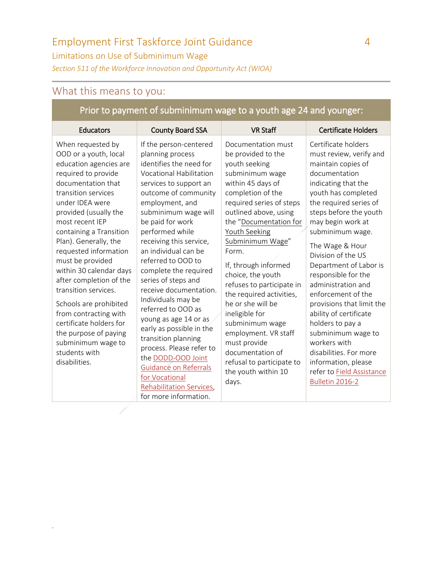Limitations on Use of Subminimum Wage

*Section 511 of the Workforce Innovation and Opportunity Act (WIOA)*

# What this means to you:

.

## Prior to payment of subminimum wage to a youth age 24 and younger:

| Educators                                                                                                                                                                                                                                                                                                                                                                                                                                                                                                                                             | <b>County Board SSA</b>                                                                                                                                                                                                                                                                                                                                                                                                                                                                                                                                                                                                                                                  | <b>VR Staff</b>                                                                                                                                                                                                                                                                                                                                                                                                                                                                                                                                     | <b>Certificate Holders</b>                                                                                                                                                                                                                                                                                                                                                                                                                                                                                                                                                               |
|-------------------------------------------------------------------------------------------------------------------------------------------------------------------------------------------------------------------------------------------------------------------------------------------------------------------------------------------------------------------------------------------------------------------------------------------------------------------------------------------------------------------------------------------------------|--------------------------------------------------------------------------------------------------------------------------------------------------------------------------------------------------------------------------------------------------------------------------------------------------------------------------------------------------------------------------------------------------------------------------------------------------------------------------------------------------------------------------------------------------------------------------------------------------------------------------------------------------------------------------|-----------------------------------------------------------------------------------------------------------------------------------------------------------------------------------------------------------------------------------------------------------------------------------------------------------------------------------------------------------------------------------------------------------------------------------------------------------------------------------------------------------------------------------------------------|------------------------------------------------------------------------------------------------------------------------------------------------------------------------------------------------------------------------------------------------------------------------------------------------------------------------------------------------------------------------------------------------------------------------------------------------------------------------------------------------------------------------------------------------------------------------------------------|
| When requested by<br>OOD or a youth, local<br>education agencies are<br>required to provide<br>documentation that<br>transition services<br>under IDEA were<br>provided (usually the<br>most recent IEP<br>containing a Transition<br>Plan). Generally, the<br>requested information<br>must be provided<br>within 30 calendar days<br>after completion of the<br>transition services.<br>Schools are prohibited<br>from contracting with<br>certificate holders for<br>the purpose of paying<br>subminimum wage to<br>students with<br>disabilities. | If the person-centered<br>planning process<br>identifies the need for<br><b>Vocational Habilitation</b><br>services to support an<br>outcome of community<br>employment, and<br>subminimum wage will<br>be paid for work<br>performed while<br>receiving this service,<br>an individual can be<br>referred to OOD to<br>complete the required<br>series of steps and<br>receive documentation.<br>Individuals may be<br>referred to OOD as<br>young as age 14 or as<br>early as possible in the<br>transition planning<br>process. Please refer to<br>the DODD-OOD Joint<br>Guidance on Referrals<br>for Vocational<br>Rehabilitation Services,<br>for more information. | Documentation must<br>be provided to the<br>youth seeking<br>subminimum wage<br>within 45 days of<br>completion of the<br>required series of steps<br>outlined above, using<br>the "Documentation for<br><b>Youth Seeking</b><br>Subminimum Wage"<br>Form.<br>If, through informed<br>choice, the youth<br>refuses to participate in<br>the required activities,<br>he or she will be<br>ineligible for<br>subminimum wage<br>employment. VR staff<br>must provide<br>documentation of<br>refusal to participate to<br>the youth within 10<br>days. | Certificate holders<br>must review, verify and<br>maintain copies of<br>documentation<br>indicating that the<br>youth has completed<br>the required series of<br>steps before the youth<br>may begin work at<br>subminimum wage.<br>The Wage & Hour<br>Division of the US<br>Department of Labor is<br>responsible for the<br>administration and<br>enforcement of the<br>provisions that limit the<br>ability of certificate<br>holders to pay a<br>subminimum wage to<br>workers with<br>disabilities. For more<br>information, please<br>refer to Field Assistance<br>Bulletin 2016-2 |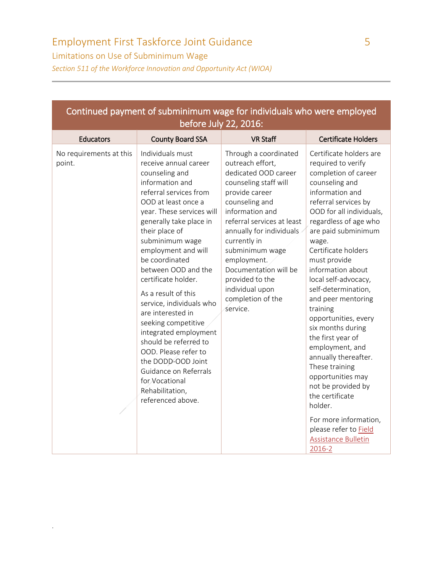Limitations on Use of Subminimum Wage

.

*Section 511 of the Workforce Innovation and Opportunity Act (WIOA)*

| Continued payment of subminimum wage for individuals who were employed<br>before July 22, 2016: |                                                                                                                                                                                                                                                                                                                                                                                                                                                                                                                                                                                                       |                                                                                                                                                                                                                                                                                                                                                               |                                                                                                                                                                                                                                                                                                                                                                                                                                                                                                                                                                                                                                                                            |  |
|-------------------------------------------------------------------------------------------------|-------------------------------------------------------------------------------------------------------------------------------------------------------------------------------------------------------------------------------------------------------------------------------------------------------------------------------------------------------------------------------------------------------------------------------------------------------------------------------------------------------------------------------------------------------------------------------------------------------|---------------------------------------------------------------------------------------------------------------------------------------------------------------------------------------------------------------------------------------------------------------------------------------------------------------------------------------------------------------|----------------------------------------------------------------------------------------------------------------------------------------------------------------------------------------------------------------------------------------------------------------------------------------------------------------------------------------------------------------------------------------------------------------------------------------------------------------------------------------------------------------------------------------------------------------------------------------------------------------------------------------------------------------------------|--|
| <b>Educators</b>                                                                                | <b>County Board SSA</b>                                                                                                                                                                                                                                                                                                                                                                                                                                                                                                                                                                               | <b>VR Staff</b>                                                                                                                                                                                                                                                                                                                                               | <b>Certificate Holders</b>                                                                                                                                                                                                                                                                                                                                                                                                                                                                                                                                                                                                                                                 |  |
| No requirements at this<br>point.                                                               | Individuals must<br>receive annual career<br>counseling and<br>information and<br>referral services from<br>OOD at least once a<br>year. These services will<br>generally take place in<br>their place of<br>subminimum wage<br>employment and will<br>be coordinated<br>between OOD and the<br>certificate holder.<br>As a result of this<br>service, individuals who<br>are interested in<br>seeking competitive<br>integrated employment<br>should be referred to<br>OOD. Please refer to<br>the DODD-OOD Joint<br>Guidance on Referrals<br>for Vocational<br>Rehabilitation,<br>referenced above. | Through a coordinated<br>outreach effort,<br>dedicated OOD career<br>counseling staff will<br>provide career<br>counseling and<br>information and<br>referral services at least<br>annually for individuals<br>currently in<br>subminimum wage<br>employment.<br>Documentation will be<br>provided to the<br>individual upon<br>completion of the<br>service. | Certificate holders are<br>required to verify<br>completion of career<br>counseling and<br>information and<br>referral services by<br>OOD for all individuals,<br>regardless of age who<br>are paid subminimum<br>wage.<br>Certificate holders<br>must provide<br>information about<br>local self-advocacy,<br>self-determination,<br>and peer mentoring<br>training<br>opportunities, every<br>six months during<br>the first year of<br>employment, and<br>annually thereafter.<br>These training<br>opportunities may<br>not be provided by<br>the certificate<br>holder.<br>For more information,<br>please refer to Field<br><b>Assistance Bulletin</b><br>$2016 - 2$ |  |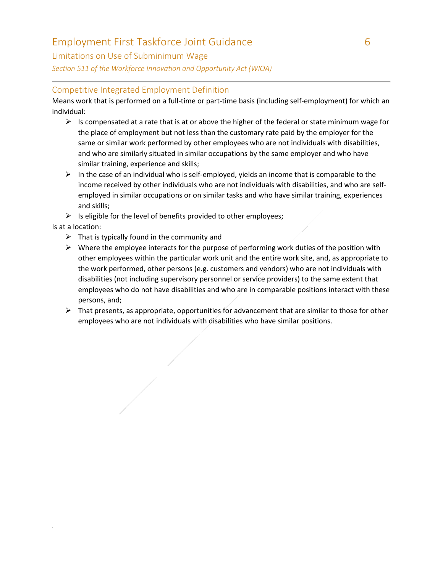### Limitations on Use of Subminimum Wage

*Section 511 of the Workforce Innovation and Opportunity Act (WIOA)*

### Competitive Integrated Employment Definition

Means work that is performed on a full-time or part-time basis (including self-employment) for which an individual:

- $\triangleright$  Is compensated at a rate that is at or above the higher of the federal or state minimum wage for the place of employment but not less than the customary rate paid by the employer for the same or similar work performed by other employees who are not individuals with disabilities, and who are similarly situated in similar occupations by the same employer and who have similar training, experience and skills;
- $\triangleright$  In the case of an individual who is self-employed, yields an income that is comparable to the income received by other individuals who are not individuals with disabilities, and who are selfemployed in similar occupations or on similar tasks and who have similar training, experiences and skills;
- $\triangleright$  Is eligible for the level of benefits provided to other employees;

Is at a location:

.

- $\triangleright$  That is typically found in the community and
- $\triangleright$  Where the employee interacts for the purpose of performing work duties of the position with other employees within the particular work unit and the entire work site, and, as appropriate to the work performed, other persons (e.g. customers and vendors) who are not individuals with disabilities (not including supervisory personnel or service providers) to the same extent that employees who do not have disabilities and who are in comparable positions interact with these persons, and;
- $\triangleright$  That presents, as appropriate, opportunities for advancement that are similar to those for other employees who are not individuals with disabilities who have similar positions.